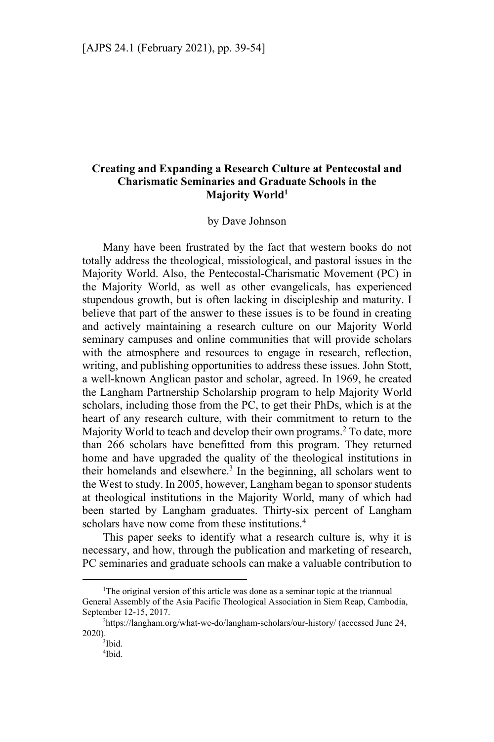# **Creating and Expanding a Research Culture at Pentecostal and Charismatic Seminaries and Graduate Schools in the Majority World1**

#### by Dave Johnson

Many have been frustrated by the fact that western books do not totally address the theological, missiological, and pastoral issues in the Majority World. Also, the Pentecostal-Charismatic Movement (PC) in the Majority World, as well as other evangelicals, has experienced stupendous growth, but is often lacking in discipleship and maturity. I believe that part of the answer to these issues is to be found in creating and actively maintaining a research culture on our Majority World seminary campuses and online communities that will provide scholars with the atmosphere and resources to engage in research, reflection, writing, and publishing opportunities to address these issues. John Stott, a well-known Anglican pastor and scholar, agreed. In 1969, he created the Langham Partnership Scholarship program to help Majority World scholars, including those from the PC, to get their PhDs, which is at the heart of any research culture, with their commitment to return to the Majority World to teach and develop their own programs.<sup>2</sup> To date, more than 266 scholars have benefitted from this program. They returned home and have upgraded the quality of the theological institutions in their homelands and elsewhere.<sup>3</sup> In the beginning, all scholars went to the West to study. In 2005, however, Langham began to sponsor students at theological institutions in the Majority World, many of which had been started by Langham graduates. Thirty-six percent of Langham scholars have now come from these institutions.<sup>4</sup>

This paper seeks to identify what a research culture is, why it is necessary, and how, through the publication and marketing of research, PC seminaries and graduate schools can make a valuable contribution to

<sup>&</sup>lt;sup>1</sup>The original version of this article was done as a seminar topic at the triannual General Assembly of the Asia Pacific Theological Association in Siem Reap, Cambodia, September 12-15, 2017.

https://langham.org/what-we-do/langham-scholars/our-history/ (accessed June 24,  $2020$ ).

<sup>&</sup>lt;sup>3</sup>Ibid.

<sup>4</sup> Ibid.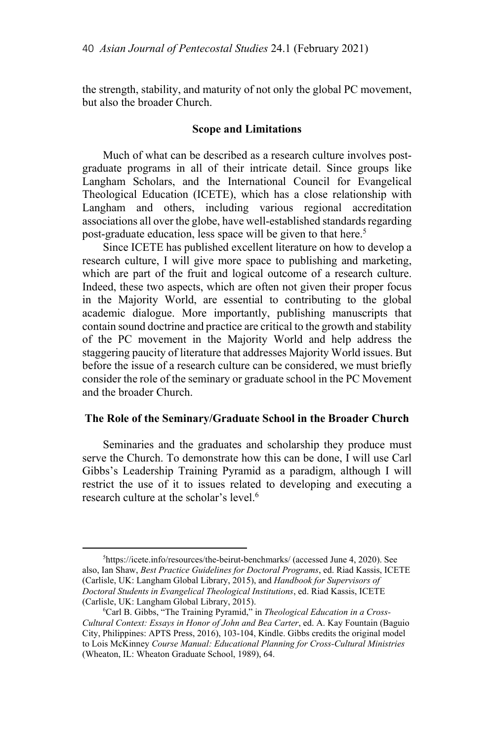the strength, stability, and maturity of not only the global PC movement, but also the broader Church.

## **Scope and Limitations**

Much of what can be described as a research culture involves postgraduate programs in all of their intricate detail. Since groups like Langham Scholars, and the International Council for Evangelical Theological Education (ICETE), which has a close relationship with Langham and others, including various regional accreditation associations all over the globe, have well-established standards regarding post-graduate education, less space will be given to that here.<sup>5</sup>

Since ICETE has published excellent literature on how to develop a research culture, I will give more space to publishing and marketing, which are part of the fruit and logical outcome of a research culture. Indeed, these two aspects, which are often not given their proper focus in the Majority World, are essential to contributing to the global academic dialogue. More importantly, publishing manuscripts that contain sound doctrine and practice are critical to the growth and stability of the PC movement in the Majority World and help address the staggering paucity of literature that addresses Majority World issues. But before the issue of a research culture can be considered, we must briefly consider the role of the seminary or graduate school in the PC Movement and the broader Church.

## **The Role of the Seminary/Graduate School in the Broader Church**

Seminaries and the graduates and scholarship they produce must serve the Church. To demonstrate how this can be done, I will use Carl Gibbs's Leadership Training Pyramid as a paradigm, although I will restrict the use of it to issues related to developing and executing a research culture at the scholar's level.<sup>6</sup>

<sup>&</sup>lt;sup>5</sup>https://icete.info/resources/the-beirut-benchmarks/ (accessed June 4, 2020). See also, Ian Shaw, *Best Practice Guidelines for Doctoral Programs*, ed. Riad Kassis, ICETE (Carlisle, UK: Langham Global Library, 2015), and *Handbook for Supervisors of Doctoral Students in Evangelical Theological Institutions*, ed. Riad Kassis, ICETE (Carlisle, UK: Langham Global Library, 2015).

Carl B. Gibbs, "The Training Pyramid," in *Theological Education in a Cross-Cultural Context: Essays in Honor of John and Bea Carter*, ed. A. Kay Fountain (Baguio City, Philippines: APTS Press, 2016), 103-104, Kindle. Gibbs credits the original model to Lois McKinney *Course Manual: Educational Planning for Cross-Cultural Ministries*  (Wheaton, IL: Wheaton Graduate School, 1989), 64.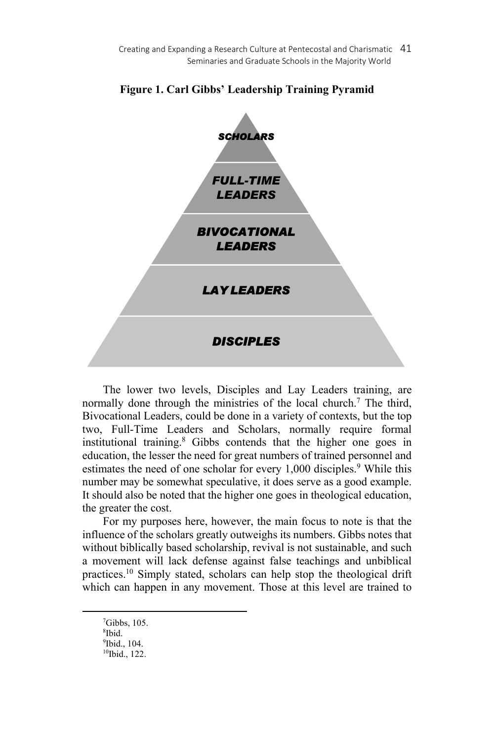Creating and Expanding a Research Culture at Pentecostal and Charismatic 41 Seminaries and Graduate Schools in the Majority World



## **Figure 1. Carl Gibbs' Leadership Training Pyramid**

The lower two levels, Disciples and Lay Leaders training, are normally done through the ministries of the local church.<sup>7</sup> The third, Bivocational Leaders, could be done in a variety of contexts, but the top two, Full-Time Leaders and Scholars, normally require formal institutional training.8 Gibbs contends that the higher one goes in education, the lesser the need for great numbers of trained personnel and estimates the need of one scholar for every 1,000 disciples.<sup>9</sup> While this number may be somewhat speculative, it does serve as a good example. It should also be noted that the higher one goes in theological education, the greater the cost.

For my purposes here, however, the main focus to note is that the influence of the scholars greatly outweighs its numbers. Gibbs notes that without biblically based scholarship, revival is not sustainable, and such a movement will lack defense against false teachings and unbiblical practices.<sup>10</sup> Simply stated, scholars can help stop the theological drift which can happen in any movement. Those at this level are trained to

 $7$ Gibbs, 105. 8 Ibid. 9 Ibid., 104. 10Ibid., 122.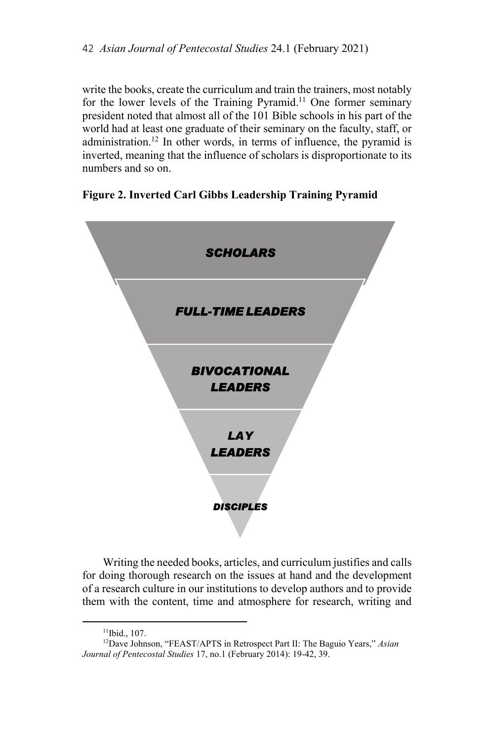write the books, create the curriculum and train the trainers, most notably for the lower levels of the Training Pyramid.<sup>11</sup> One former seminary president noted that almost all of the 101 Bible schools in his part of the world had at least one graduate of their seminary on the faculty, staff, or administration.<sup>12</sup> In other words, in terms of influence, the pyramid is inverted, meaning that the influence of scholars is disproportionate to its numbers and so on.

# **Figure 2. Inverted Carl Gibbs Leadership Training Pyramid**



Writing the needed books, articles, and curriculum justifies and calls for doing thorough research on the issues at hand and the development of a research culture in our institutions to develop authors and to provide them with the content, time and atmosphere for research, writing and

<sup>11</sup>Ibid., 107.

<sup>12</sup>Dave Johnson, "FEAST/APTS in Retrospect Part II: The Baguio Years," *Asian Journal of Pentecostal Studies* 17, no.1 (February 2014): 19-42, 39.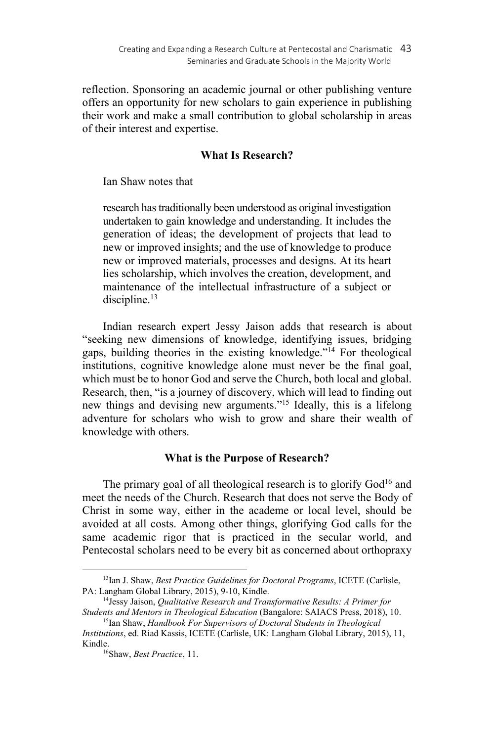reflection. Sponsoring an academic journal or other publishing venture offers an opportunity for new scholars to gain experience in publishing their work and make a small contribution to global scholarship in areas of their interest and expertise.

# **What Is Research?**

Ian Shaw notes that

research has traditionally been understood as original investigation undertaken to gain knowledge and understanding. It includes the generation of ideas; the development of projects that lead to new or improved insights; and the use of knowledge to produce new or improved materials, processes and designs. At its heart lies scholarship, which involves the creation, development, and maintenance of the intellectual infrastructure of a subject or discipline.<sup>13</sup>

Indian research expert Jessy Jaison adds that research is about "seeking new dimensions of knowledge, identifying issues, bridging gaps, building theories in the existing knowledge."14 For theological institutions, cognitive knowledge alone must never be the final goal, which must be to honor God and serve the Church, both local and global. Research, then, "is a journey of discovery, which will lead to finding out new things and devising new arguments."15 Ideally, this is a lifelong adventure for scholars who wish to grow and share their wealth of knowledge with others.

## **What is the Purpose of Research?**

The primary goal of all theological research is to glorify  $God<sup>16</sup>$  and meet the needs of the Church. Research that does not serve the Body of Christ in some way, either in the academe or local level, should be avoided at all costs. Among other things, glorifying God calls for the same academic rigor that is practiced in the secular world, and Pentecostal scholars need to be every bit as concerned about orthopraxy

<sup>13</sup>Ian J. Shaw, *Best Practice Guidelines for Doctoral Programs*, ICETE (Carlisle,

PA: Langham Global Library, 2015), 9-10, Kindle.<br><sup>14</sup>Jessy Jaison, *Qualitative Research and Transformative Results: A Primer for*<br>*Students and Mentors in Theological Education* (Bangalore: SAIACS Press, 2018), 10.

<sup>&</sup>lt;sup>15</sup>Ian Shaw, *Handbook For Supervisors of Doctoral Students in Theological Institutions*, ed. Riad Kassis, ICETE (Carlisle, UK: Langham Global Library, 2015), 11,

Kindle.<br><sup>16</sup>Shaw, *Best Practice*, 11.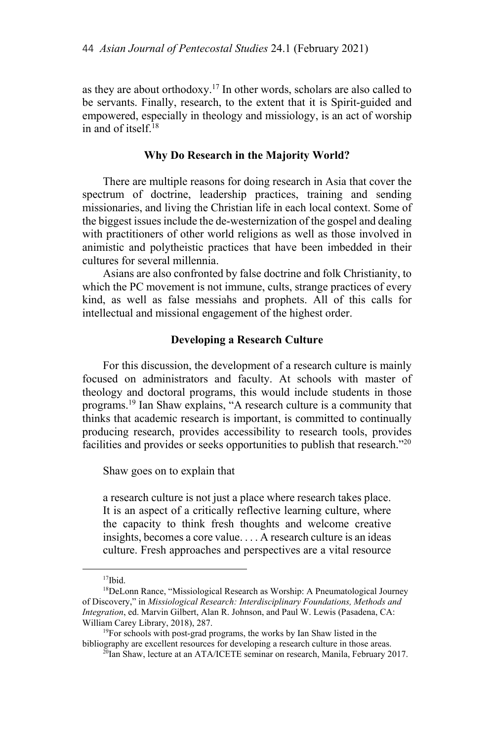as they are about orthodoxy.17 In other words, scholars are also called to be servants. Finally, research, to the extent that it is Spirit-guided and empowered, especially in theology and missiology, is an act of worship in and of itself. $^{18}$ 

#### **Why Do Research in the Majority World?**

There are multiple reasons for doing research in Asia that cover the spectrum of doctrine, leadership practices, training and sending missionaries, and living the Christian life in each local context. Some of the biggest issues include the de-westernization of the gospel and dealing with practitioners of other world religions as well as those involved in animistic and polytheistic practices that have been imbedded in their cultures for several millennia.

Asians are also confronted by false doctrine and folk Christianity, to which the PC movement is not immune, cults, strange practices of every kind, as well as false messiahs and prophets. All of this calls for intellectual and missional engagement of the highest order.

### **Developing a Research Culture**

For this discussion, the development of a research culture is mainly focused on administrators and faculty. At schools with master of theology and doctoral programs, this would include students in those programs.19 Ian Shaw explains, "A research culture is a community that thinks that academic research is important, is committed to continually producing research, provides accessibility to research tools, provides facilities and provides or seeks opportunities to publish that research."20

Shaw goes on to explain that

a research culture is not just a place where research takes place. It is an aspect of a critically reflective learning culture, where the capacity to think fresh thoughts and welcome creative insights, becomes a core value. . . . A research culture is an ideas culture. Fresh approaches and perspectives are a vital resource

<sup>17</sup>Ibid.

<sup>18</sup>DeLonn Rance, "Missiological Research as Worship: A Pneumatological Journey of Discovery," in *Missiological Research: Interdisciplinary Foundations, Methods and Integration*, ed. Marvin Gilbert, Alan R. Johnson, and Paul W. Lewis (Pasadena, CA: William Carey Library, 2018), 287.<br><sup>19</sup>For schools with post-grad programs, the works by Ian Shaw listed in the

bibliography are excellent resources for developing a research culture in those areas.<br><sup>20</sup>Ian Shaw, lecture at an ATA/ICETE seminar on research, Manila, February 2017.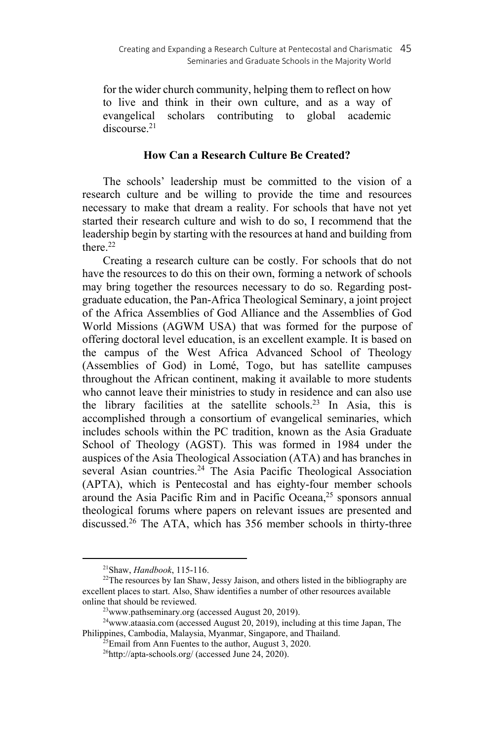for the wider church community, helping them to reflect on how to live and think in their own culture, and as a way of evangelical scholars contributing to global academic discourse.<sup>21</sup>

## **How Can a Research Culture Be Created?**

The schools' leadership must be committed to the vision of a research culture and be willing to provide the time and resources necessary to make that dream a reality. For schools that have not yet started their research culture and wish to do so, I recommend that the leadership begin by starting with the resources at hand and building from there.22

Creating a research culture can be costly. For schools that do not have the resources to do this on their own, forming a network of schools may bring together the resources necessary to do so. Regarding postgraduate education, the Pan-Africa Theological Seminary, a joint project of the Africa Assemblies of God Alliance and the Assemblies of God World Missions (AGWM USA) that was formed for the purpose of offering doctoral level education, is an excellent example. It is based on the campus of the West Africa Advanced School of Theology (Assemblies of God) in Lomé, Togo, but has satellite campuses throughout the African continent, making it available to more students who cannot leave their ministries to study in residence and can also use the library facilities at the satellite schools.23 In Asia, this is accomplished through a consortium of evangelical seminaries, which includes schools within the PC tradition, known as the Asia Graduate School of Theology (AGST). This was formed in 1984 under the auspices of the Asia Theological Association (ATA) and has branches in several Asian countries.<sup>24</sup> The Asia Pacific Theological Association (APTA), which is Pentecostal and has eighty-four member schools around the Asia Pacific Rim and in Pacific Oceana,<sup>25</sup> sponsors annual theological forums where papers on relevant issues are presented and discussed.26 The ATA, which has 356 member schools in thirty-three

<sup>&</sup>lt;sup>21</sup>Shaw, *Handbook*, 115-116.<br><sup>22</sup>The resources by Ian Shaw, Jessy Jaison, and others listed in the bibliography are excellent places to start. Also, Shaw identifies a number of other resources available online that should be reviewed.<br><sup>23</sup>www.pathseminary.org (accessed August 20, 2019).<br><sup>24</sup>www.ataasia.com (accessed August 20, 2019), including at this time Japan, The

Philippines, Cambodia, Malaysia, Myanmar, Singapore, and Thailand. <sup>25</sup>Email from Ann Fuentes to the author, August 3, 2020.

 $^{26}$ http://apta-schools.org/ (accessed June 24, 2020).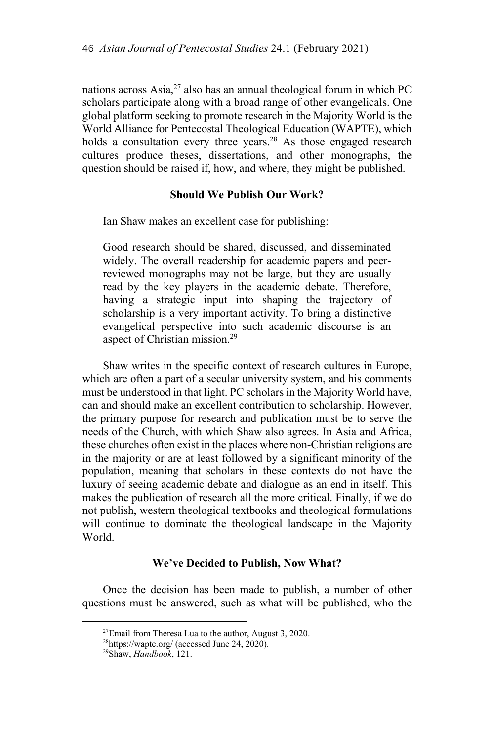nations across Asia, $^{27}$  also has an annual theological forum in which PC scholars participate along with a broad range of other evangelicals. One global platform seeking to promote research in the Majority World is the World Alliance for Pentecostal Theological Education (WAPTE), which holds a consultation every three years.28 As those engaged research cultures produce theses, dissertations, and other monographs, the question should be raised if, how, and where, they might be published.

## **Should We Publish Our Work?**

Ian Shaw makes an excellent case for publishing:

Good research should be shared, discussed, and disseminated widely. The overall readership for academic papers and peerreviewed monographs may not be large, but they are usually read by the key players in the academic debate. Therefore, having a strategic input into shaping the trajectory of scholarship is a very important activity. To bring a distinctive evangelical perspective into such academic discourse is an aspect of Christian mission.29

Shaw writes in the specific context of research cultures in Europe, which are often a part of a secular university system, and his comments must be understood in that light. PC scholars in the Majority World have, can and should make an excellent contribution to scholarship. However, the primary purpose for research and publication must be to serve the needs of the Church, with which Shaw also agrees. In Asia and Africa, these churches often exist in the places where non-Christian religions are in the majority or are at least followed by a significant minority of the population, meaning that scholars in these contexts do not have the luxury of seeing academic debate and dialogue as an end in itself. This makes the publication of research all the more critical. Finally, if we do not publish, western theological textbooks and theological formulations will continue to dominate the theological landscape in the Majority World.

## **We've Decided to Publish, Now What?**

Once the decision has been made to publish, a number of other questions must be answered, such as what will be published, who the

 $27$ Email from Theresa Lua to the author, August 3, 2020.

<sup>28</sup>https://wapte.org/ (accessed June 24, 2020). 29Shaw, *Handbook*, 121.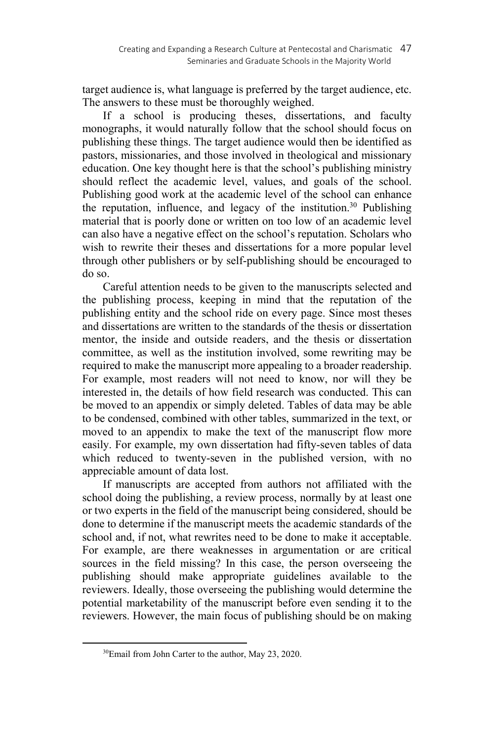target audience is, what language is preferred by the target audience, etc. The answers to these must be thoroughly weighed.

If a school is producing theses, dissertations, and faculty monographs, it would naturally follow that the school should focus on publishing these things. The target audience would then be identified as pastors, missionaries, and those involved in theological and missionary education. One key thought here is that the school's publishing ministry should reflect the academic level, values, and goals of the school. Publishing good work at the academic level of the school can enhance the reputation, influence, and legacy of the institution.<sup>30</sup> Publishing material that is poorly done or written on too low of an academic level can also have a negative effect on the school's reputation. Scholars who wish to rewrite their theses and dissertations for a more popular level through other publishers or by self-publishing should be encouraged to do so.

Careful attention needs to be given to the manuscripts selected and the publishing process, keeping in mind that the reputation of the publishing entity and the school ride on every page. Since most theses and dissertations are written to the standards of the thesis or dissertation mentor, the inside and outside readers, and the thesis or dissertation committee, as well as the institution involved, some rewriting may be required to make the manuscript more appealing to a broader readership. For example, most readers will not need to know, nor will they be interested in, the details of how field research was conducted. This can be moved to an appendix or simply deleted. Tables of data may be able to be condensed, combined with other tables, summarized in the text, or moved to an appendix to make the text of the manuscript flow more easily. For example, my own dissertation had fifty-seven tables of data which reduced to twenty-seven in the published version, with no appreciable amount of data lost.

If manuscripts are accepted from authors not affiliated with the school doing the publishing, a review process, normally by at least one or two experts in the field of the manuscript being considered, should be done to determine if the manuscript meets the academic standards of the school and, if not, what rewrites need to be done to make it acceptable. For example, are there weaknesses in argumentation or are critical sources in the field missing? In this case, the person overseeing the publishing should make appropriate guidelines available to the reviewers. Ideally, those overseeing the publishing would determine the potential marketability of the manuscript before even sending it to the reviewers. However, the main focus of publishing should be on making

<sup>30</sup>Email from John Carter to the author, May 23, 2020.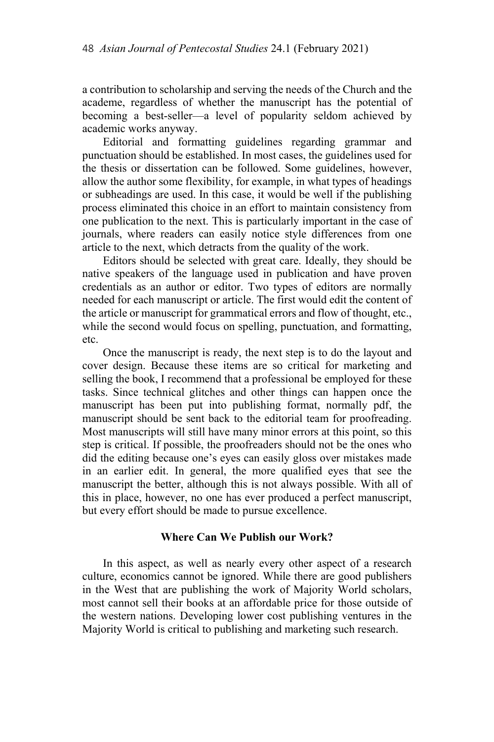a contribution to scholarship and serving the needs of the Church and the academe, regardless of whether the manuscript has the potential of becoming a best-seller—a level of popularity seldom achieved by academic works anyway.

Editorial and formatting guidelines regarding grammar and punctuation should be established. In most cases, the guidelines used for the thesis or dissertation can be followed. Some guidelines, however, allow the author some flexibility, for example, in what types of headings or subheadings are used. In this case, it would be well if the publishing process eliminated this choice in an effort to maintain consistency from one publication to the next. This is particularly important in the case of journals, where readers can easily notice style differences from one article to the next, which detracts from the quality of the work.

Editors should be selected with great care. Ideally, they should be native speakers of the language used in publication and have proven credentials as an author or editor. Two types of editors are normally needed for each manuscript or article. The first would edit the content of the article or manuscript for grammatical errors and flow of thought, etc., while the second would focus on spelling, punctuation, and formatting, etc.

Once the manuscript is ready, the next step is to do the layout and cover design. Because these items are so critical for marketing and selling the book, I recommend that a professional be employed for these tasks. Since technical glitches and other things can happen once the manuscript has been put into publishing format, normally pdf, the manuscript should be sent back to the editorial team for proofreading. Most manuscripts will still have many minor errors at this point, so this step is critical. If possible, the proofreaders should not be the ones who did the editing because one's eyes can easily gloss over mistakes made in an earlier edit. In general, the more qualified eyes that see the manuscript the better, although this is not always possible. With all of this in place, however, no one has ever produced a perfect manuscript, but every effort should be made to pursue excellence.

# **Where Can We Publish our Work?**

In this aspect, as well as nearly every other aspect of a research culture, economics cannot be ignored. While there are good publishers in the West that are publishing the work of Majority World scholars, most cannot sell their books at an affordable price for those outside of the western nations. Developing lower cost publishing ventures in the Majority World is critical to publishing and marketing such research.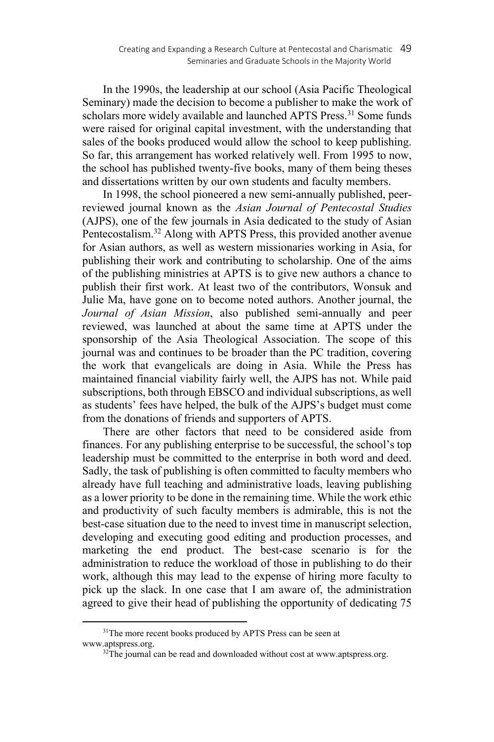In the 1990s, the leadership at our school (Asia Pacific Theological Seminary) made the decision to become a publisher to make the work of scholars more widely available and launched APTS Press.<sup>31</sup> Some funds were raised for original capital investment, with the understanding that sales of the books produced would allow the school to keep publishing. So far, this arrangement has worked relatively well. From 1995 to now, the school has published twenty-five books, many of them being theses and dissertations written by our own students and faculty members.

In 1998, the school pioneered a new semi-annually published, peerreviewed journal known as the *Asian Journal of Pentecostal Studies*  (AJPS), one of the few journals in Asia dedicated to the study of Asian Pentecostalism.32 Along with APTS Press, this provided another avenue for Asian authors, as well as western missionaries working in Asia, for publishing their work and contributing to scholarship. One of the aims of the publishing ministries at APTS is to give new authors a chance to publish their first work. At least two of the contributors, Wonsuk and Julie Ma, have gone on to become noted authors. Another journal, the *Journal of Asian Mission*, also published semi-annually and peer reviewed, was launched at about the same time at APTS under the sponsorship of the Asia Theological Association. The scope of this journal was and continues to be broader than the PC tradition, covering the work that evangelicals are doing in Asia. While the Press has maintained financial viability fairly well, the AJPS has not. While paid subscriptions, both through EBSCO and individual subscriptions, as well as students' fees have helped, the bulk of the AJPS's budget must come from the donations of friends and supporters of APTS.

There are other factors that need to be considered aside from finances. For any publishing enterprise to be successful, the school's top leadership must be committed to the enterprise in both word and deed. Sadly, the task of publishing is often committed to faculty members who already have full teaching and administrative loads, leaving publishing as a lower priority to be done in the remaining time. While the work ethic and productivity of such faculty members is admirable, this is not the best-case situation due to the need to invest time in manuscript selection, developing and executing good editing and production processes, and marketing the end product. The best-case scenario is for the administration to reduce the workload of those in publishing to do their work, although this may lead to the expense of hiring more faculty to pick up the slack. In one case that I am aware of, the administration agreed to give their head of publishing the opportunity of dedicating 75

<sup>&</sup>lt;sup>31</sup>The more recent books produced by APTS Press can be seen at www.aptspress.org.<br><sup>32</sup>The journal can be read and downloaded without cost at www.aptspress.org.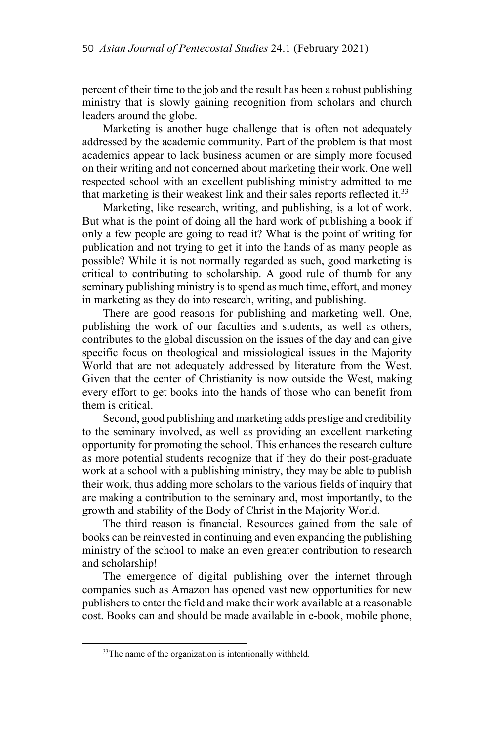percent of their time to the job and the result has been a robust publishing ministry that is slowly gaining recognition from scholars and church leaders around the globe.

Marketing is another huge challenge that is often not adequately addressed by the academic community. Part of the problem is that most academics appear to lack business acumen or are simply more focused on their writing and not concerned about marketing their work. One well respected school with an excellent publishing ministry admitted to me that marketing is their weakest link and their sales reports reflected it.<sup>33</sup>

Marketing, like research, writing, and publishing, is a lot of work. But what is the point of doing all the hard work of publishing a book if only a few people are going to read it? What is the point of writing for publication and not trying to get it into the hands of as many people as possible? While it is not normally regarded as such, good marketing is critical to contributing to scholarship. A good rule of thumb for any seminary publishing ministry is to spend as much time, effort, and money in marketing as they do into research, writing, and publishing.

There are good reasons for publishing and marketing well. One, publishing the work of our faculties and students, as well as others, contributes to the global discussion on the issues of the day and can give specific focus on theological and missiological issues in the Majority World that are not adequately addressed by literature from the West. Given that the center of Christianity is now outside the West, making every effort to get books into the hands of those who can benefit from them is critical.

Second, good publishing and marketing adds prestige and credibility to the seminary involved, as well as providing an excellent marketing opportunity for promoting the school. This enhances the research culture as more potential students recognize that if they do their post-graduate work at a school with a publishing ministry, they may be able to publish their work, thus adding more scholars to the various fields of inquiry that are making a contribution to the seminary and, most importantly, to the growth and stability of the Body of Christ in the Majority World.

The third reason is financial. Resources gained from the sale of books can be reinvested in continuing and even expanding the publishing ministry of the school to make an even greater contribution to research and scholarship!

The emergence of digital publishing over the internet through companies such as Amazon has opened vast new opportunities for new publishers to enter the field and make their work available at a reasonable cost. Books can and should be made available in e-book, mobile phone,

<sup>&</sup>lt;sup>33</sup>The name of the organization is intentionally withheld.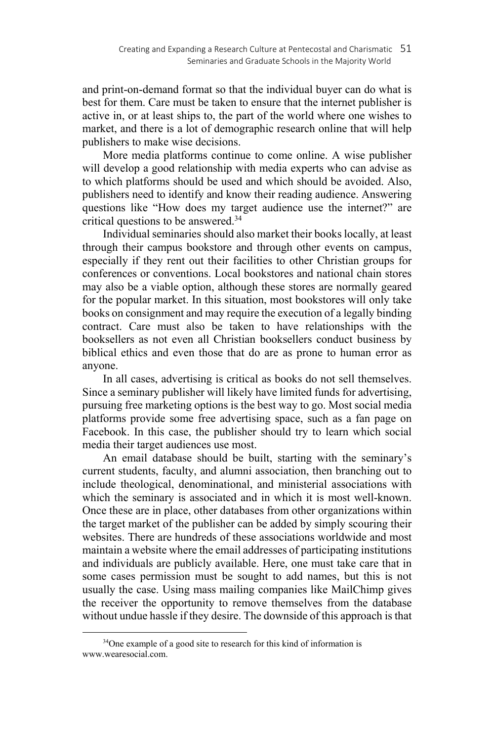and print-on-demand format so that the individual buyer can do what is best for them. Care must be taken to ensure that the internet publisher is active in, or at least ships to, the part of the world where one wishes to market, and there is a lot of demographic research online that will help publishers to make wise decisions.

More media platforms continue to come online. A wise publisher will develop a good relationship with media experts who can advise as to which platforms should be used and which should be avoided. Also, publishers need to identify and know their reading audience. Answering questions like "How does my target audience use the internet?" are critical questions to be answered.34

Individual seminaries should also market their books locally, at least through their campus bookstore and through other events on campus, especially if they rent out their facilities to other Christian groups for conferences or conventions. Local bookstores and national chain stores may also be a viable option, although these stores are normally geared for the popular market. In this situation, most bookstores will only take books on consignment and may require the execution of a legally binding contract. Care must also be taken to have relationships with the booksellers as not even all Christian booksellers conduct business by biblical ethics and even those that do are as prone to human error as anyone.

In all cases, advertising is critical as books do not sell themselves. Since a seminary publisher will likely have limited funds for advertising, pursuing free marketing options is the best way to go. Most social media platforms provide some free advertising space, such as a fan page on Facebook. In this case, the publisher should try to learn which social media their target audiences use most.

An email database should be built, starting with the seminary's current students, faculty, and alumni association, then branching out to include theological, denominational, and ministerial associations with which the seminary is associated and in which it is most well-known. Once these are in place, other databases from other organizations within the target market of the publisher can be added by simply scouring their websites. There are hundreds of these associations worldwide and most maintain a website where the email addresses of participating institutions and individuals are publicly available. Here, one must take care that in some cases permission must be sought to add names, but this is not usually the case. Using mass mailing companies like MailChimp gives the receiver the opportunity to remove themselves from the database without undue hassle if they desire. The downside of this approach is that

<sup>&</sup>lt;sup>34</sup>One example of a good site to research for this kind of information is www.wearesocial.com.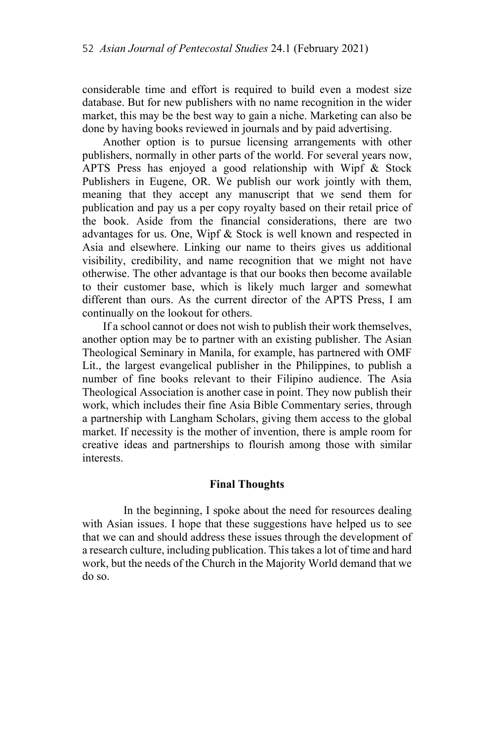considerable time and effort is required to build even a modest size database. But for new publishers with no name recognition in the wider market, this may be the best way to gain a niche. Marketing can also be done by having books reviewed in journals and by paid advertising.

Another option is to pursue licensing arrangements with other publishers, normally in other parts of the world. For several years now, APTS Press has enjoyed a good relationship with Wipf & Stock Publishers in Eugene, OR. We publish our work jointly with them, meaning that they accept any manuscript that we send them for publication and pay us a per copy royalty based on their retail price of the book. Aside from the financial considerations, there are two advantages for us. One, Wipf & Stock is well known and respected in Asia and elsewhere. Linking our name to theirs gives us additional visibility, credibility, and name recognition that we might not have otherwise. The other advantage is that our books then become available to their customer base, which is likely much larger and somewhat different than ours. As the current director of the APTS Press, I am continually on the lookout for others.

If a school cannot or does not wish to publish their work themselves, another option may be to partner with an existing publisher. The Asian Theological Seminary in Manila, for example, has partnered with OMF Lit., the largest evangelical publisher in the Philippines, to publish a number of fine books relevant to their Filipino audience. The Asia Theological Association is another case in point. They now publish their work, which includes their fine Asia Bible Commentary series, through a partnership with Langham Scholars, giving them access to the global market. If necessity is the mother of invention, there is ample room for creative ideas and partnerships to flourish among those with similar interests.

#### **Final Thoughts**

In the beginning, I spoke about the need for resources dealing with Asian issues. I hope that these suggestions have helped us to see that we can and should address these issues through the development of a research culture, including publication. This takes a lot of time and hard work, but the needs of the Church in the Majority World demand that we do so.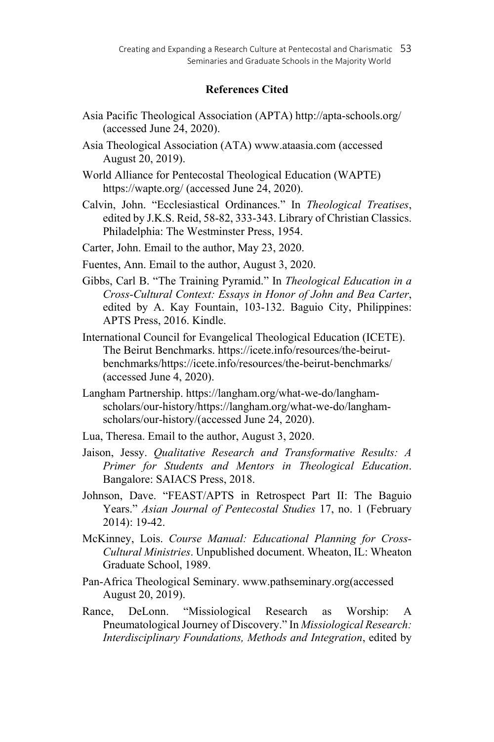## **References Cited**

- Asia Pacific Theological Association (APTA) http://apta-schools.org/ (accessed June 24, 2020).
- Asia Theological Association (ATA) www.ataasia.com (accessed August 20, 2019).

World Alliance for Pentecostal Theological Education (WAPTE) https://wapte.org/ (accessed June 24, 2020).

Calvin, John. "Ecclesiastical Ordinances." In *Theological Treatises*, edited by J.K.S. Reid, 58-82, 333-343. Library of Christian Classics. Philadelphia: The Westminster Press, 1954.

Carter, John. Email to the author, May 23, 2020.

Fuentes, Ann. Email to the author, August 3, 2020.

- Gibbs, Carl B. "The Training Pyramid." In *Theological Education in a Cross-Cultural Context: Essays in Honor of John and Bea Carter*, edited by A. Kay Fountain, 103-132. Baguio City, Philippines: APTS Press, 2016. Kindle.
- International Council for Evangelical Theological Education (ICETE). The Beirut Benchmarks. https://icete.info/resources/the-beirutbenchmarks/https://icete.info/resources/the-beirut-benchmarks/ (accessed June 4, 2020).
- Langham Partnership. https://langham.org/what-we-do/langhamscholars/our-history/https://langham.org/what-we-do/langhamscholars/our-history/(accessed June 24, 2020).
- Lua, Theresa. Email to the author, August 3, 2020.
- Jaison, Jessy. *Qualitative Research and Transformative Results: A Primer for Students and Mentors in Theological Education*. Bangalore: SAIACS Press, 2018.
- Johnson, Dave. "FEAST/APTS in Retrospect Part II: The Baguio Years." *Asian Journal of Pentecostal Studies* 17, no. 1 (February 2014): 19-42.
- McKinney, Lois. *Course Manual: Educational Planning for Cross-Cultural Ministries*. Unpublished document. Wheaton, IL: Wheaton Graduate School, 1989.
- Pan-Africa Theological Seminary. www.pathseminary.org(accessed August 20, 2019).
- Rance, DeLonn. "Missiological Research as Worship: A Pneumatological Journey of Discovery." In *Missiological Research: Interdisciplinary Foundations, Methods and Integration*, edited by